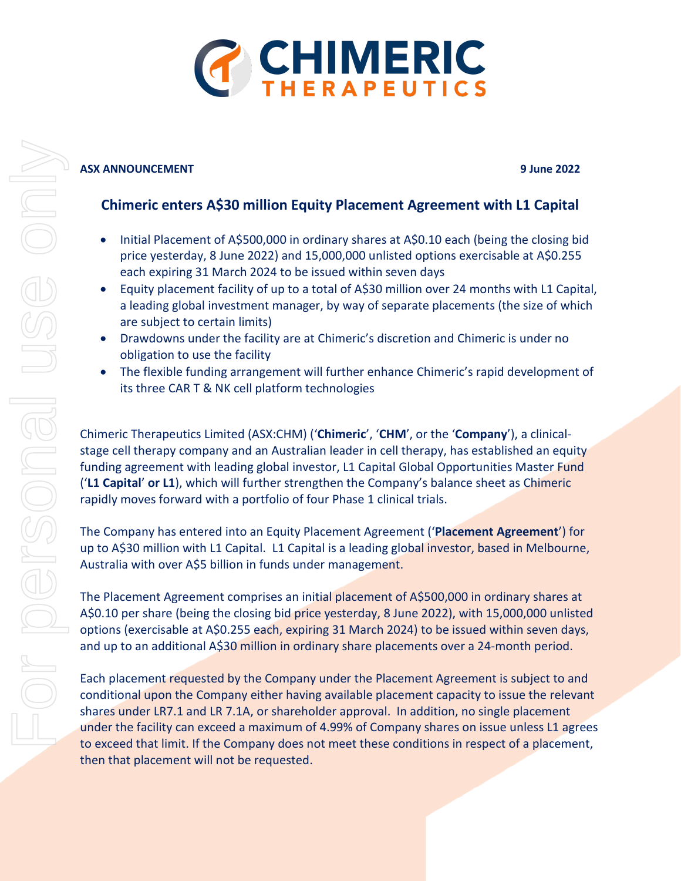

### **ASX ANNOUNCEMENT 9 June 2022**

## **Chimeric enters A\$30 million Equity Placement Agreement with L1 Capital**

- Initial Placement of A\$500,000 in ordinary shares at A\$0.10 each (being the closing bid price yesterday, 8 June 2022) and 15,000,000 unlisted options exercisable at A\$0.255 each expiring 31 March 2024 to be issued within seven days
- Equity placement facility of up to a total of A\$30 million over 24 months with L1 Capital, a leading global investment manager, by way of separate placements (the size of which are subject to certain limits)
- Drawdowns under the facility are at Chimeric's discretion and Chimeric is under no obligation to use the facility
- The flexible funding arrangement will further enhance Chimeric's rapid development of its three CAR T & NK cell platform technologies

Chimeric Therapeutics Limited (ASX:CHM) ('**Chimeric**', '**CHM**', or the '**Company**'), a clinicalstage cell therapy company and an Australian leader in cell therapy, has established an equity funding agreement with leading global investor, L1 Capital Global Opportunities Master Fund ('**L1 Capital**' **or L1**), which will further strengthen the Company's balance sheet as Chimeric rapidly moves forward with a portfolio of four Phase 1 clinical trials.

The Company has entered into an Equity Placement Agreement ('**Placement Agreement**') for up to A\$30 million with L1 Capital. L1 Capital is a leading global investor, based in Melbourne, Australia with over A\$5 billion in funds under management.

The Placement Agreement comprises an initial placement of A\$500,000 in ordinary shares at A\$0.10 per share (being the closing bid price yesterday, 8 June 2022), with 15,000,000 unlisted options (exercisable at A\$0.255 each, expiring 31 March 2024) to be issued within seven days, and up to an additional A\$30 million in ordinary share placements over a 24-month period.

Each placement requested by the Company under the Placement Agreement is subject to and conditional upon the Company either having available placement capacity to issue the relevant shares under LR7.1 and LR 7.1A, or shareholder approval. In addition, no single placement under the facility can exceed a maximum of 4.99% of Company shares on issue unless L1 agrees to exceed that limit. If the Company does not meet these conditions in respect of a placement, then that placement will not be requested.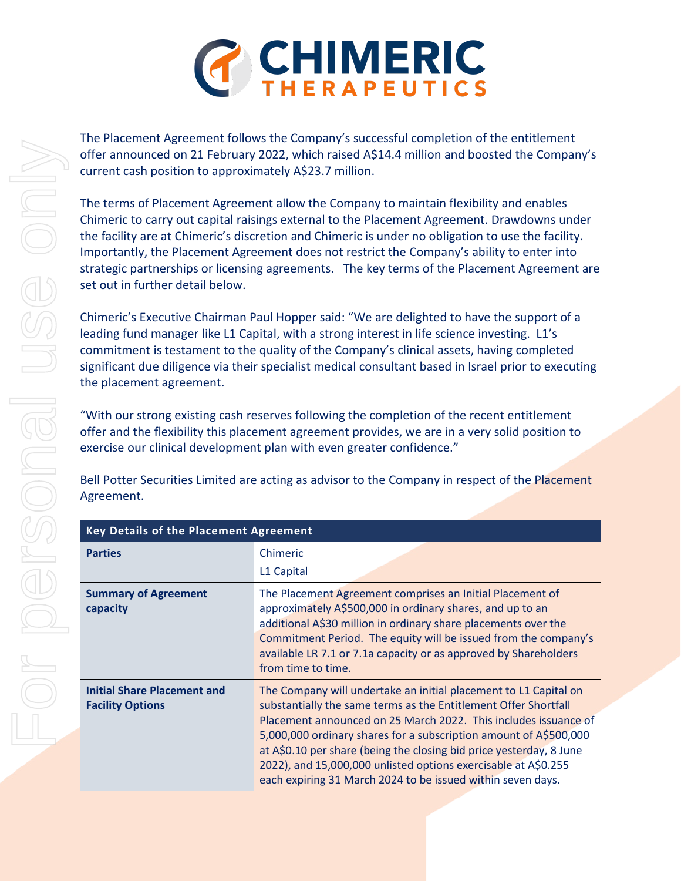

The Placement Agreement follows the Company's successful completion of the entitlement offer announced on 21 February 2022, which raised A\$14.4 million and boosted the Company's current cash position to approximately A\$23.7 million.

The terms of Placement Agreement allow the Company to maintain flexibility and enables Chimeric to carry out capital raisings external to the Placement Agreement. Drawdowns under the facility are at Chimeric's discretion and Chimeric is under no obligation to use the facility. Importantly, the Placement Agreement does not restrict the Company's ability to enter into strategic partnerships or licensing agreements. The key terms of the Placement Agreement are set out in further detail below.

Chimeric's Executive Chairman Paul Hopper said: "We are delighted to have the support of a leading fund manager like L1 Capital, with a strong interest in life science investing. L1's commitment is testament to the quality of the Company's clinical assets, having completed significant due diligence via their specialist medical consultant based in Israel prior to executing the placement agreement.

"With our strong existing cash reserves following the completion of the recent entitlement offer and the flexibility this placement agreement provides, we are in a very solid position to exercise our clinical development plan with even greater confidence."

Bell Potter Securities Limited are acting as advisor to the Company in respect of the Placement Agreement.

| <b>Key Details of the Placement Agreement</b>                 |                                                                                                                                                                                                                                                                                                                                                                                                                                                                                     |
|---------------------------------------------------------------|-------------------------------------------------------------------------------------------------------------------------------------------------------------------------------------------------------------------------------------------------------------------------------------------------------------------------------------------------------------------------------------------------------------------------------------------------------------------------------------|
| <b>Parties</b>                                                | <b>Chimeric</b>                                                                                                                                                                                                                                                                                                                                                                                                                                                                     |
|                                                               | L1 Capital                                                                                                                                                                                                                                                                                                                                                                                                                                                                          |
| <b>Summary of Agreement</b><br>capacity                       | The Placement Agreement comprises an Initial Placement of<br>approximately A\$500,000 in ordinary shares, and up to an<br>additional A\$30 million in ordinary share placements over the<br>Commitment Period. The equity will be issued from the company's<br>available LR 7.1 or 7.1a capacity or as approved by Shareholders<br>from time to time.                                                                                                                               |
| <b>Initial Share Placement and</b><br><b>Facility Options</b> | The Company will undertake an initial placement to L1 Capital on<br>substantially the same terms as the Entitlement Offer Shortfall<br>Placement announced on 25 March 2022. This includes issuance of<br>5,000,000 ordinary shares for a subscription amount of A\$500,000<br>at A\$0.10 per share (being the closing bid price yesterday, 8 June<br>2022), and 15,000,000 unlisted options exercisable at A\$0.255<br>each expiring 31 March 2024 to be issued within seven days. |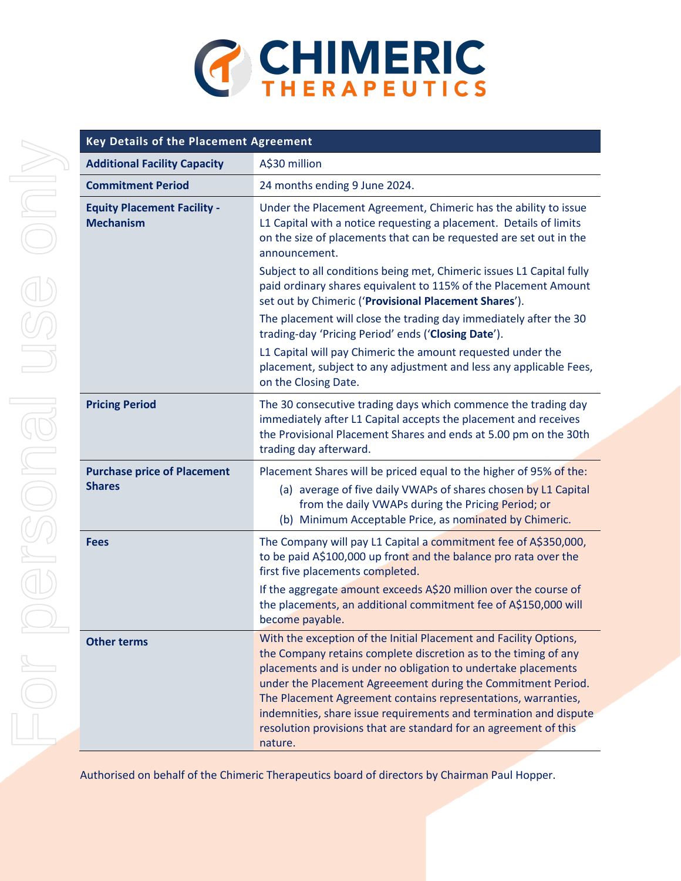

| Key Details of the Placement Agreement                 |                                                                                                                                                                                                                                                                                                                                                                                                                                                                                            |
|--------------------------------------------------------|--------------------------------------------------------------------------------------------------------------------------------------------------------------------------------------------------------------------------------------------------------------------------------------------------------------------------------------------------------------------------------------------------------------------------------------------------------------------------------------------|
| <b>Additional Facility Capacity</b>                    | A\$30 million                                                                                                                                                                                                                                                                                                                                                                                                                                                                              |
| <b>Commitment Period</b>                               | 24 months ending 9 June 2024.                                                                                                                                                                                                                                                                                                                                                                                                                                                              |
| <b>Equity Placement Facility -</b><br><b>Mechanism</b> | Under the Placement Agreement, Chimeric has the ability to issue<br>L1 Capital with a notice requesting a placement. Details of limits<br>on the size of placements that can be requested are set out in the<br>announcement.                                                                                                                                                                                                                                                              |
|                                                        | Subject to all conditions being met, Chimeric issues L1 Capital fully<br>paid ordinary shares equivalent to 115% of the Placement Amount<br>set out by Chimeric ('Provisional Placement Shares').                                                                                                                                                                                                                                                                                          |
|                                                        | The placement will close the trading day immediately after the 30<br>trading-day 'Pricing Period' ends ('Closing Date').                                                                                                                                                                                                                                                                                                                                                                   |
|                                                        | L1 Capital will pay Chimeric the amount requested under the<br>placement, subject to any adjustment and less any applicable Fees,<br>on the Closing Date.                                                                                                                                                                                                                                                                                                                                  |
| <b>Pricing Period</b>                                  | The 30 consecutive trading days which commence the trading day<br>immediately after L1 Capital accepts the placement and receives<br>the Provisional Placement Shares and ends at 5.00 pm on the 30th<br>trading day afterward.                                                                                                                                                                                                                                                            |
| <b>Purchase price of Placement</b><br><b>Shares</b>    | Placement Shares will be priced equal to the higher of 95% of the:<br>(a) average of five daily VWAPs of shares chosen by L1 Capital<br>from the daily VWAPs during the Pricing Period; or<br>(b) Minimum Acceptable Price, as nominated by Chimeric.                                                                                                                                                                                                                                      |
| <b>Fees</b>                                            | The Company will pay L1 Capital a commitment fee of A\$350,000,<br>to be paid A\$100,000 up front and the balance pro rata over the<br>first five placements completed.                                                                                                                                                                                                                                                                                                                    |
|                                                        | If the aggregate amount exceeds A\$20 million over the course of<br>the placements, an additional commitment fee of A\$150,000 will<br>become payable.                                                                                                                                                                                                                                                                                                                                     |
| <b>Other terms</b>                                     | With the exception of the Initial Placement and Facility Options,<br>the Company retains complete discretion as to the timing of any<br>placements and is under no obligation to undertake placements<br>under the Placement Agreeement during the Commitment Period.<br>The Placement Agreement contains representations, warranties,<br>indemnities, share issue requirements and termination and dispute<br>resolution provisions that are standard for an agreement of this<br>nature. |

Authorised on behalf of the Chimeric Therapeutics board of directors by Chairman Paul Hopper.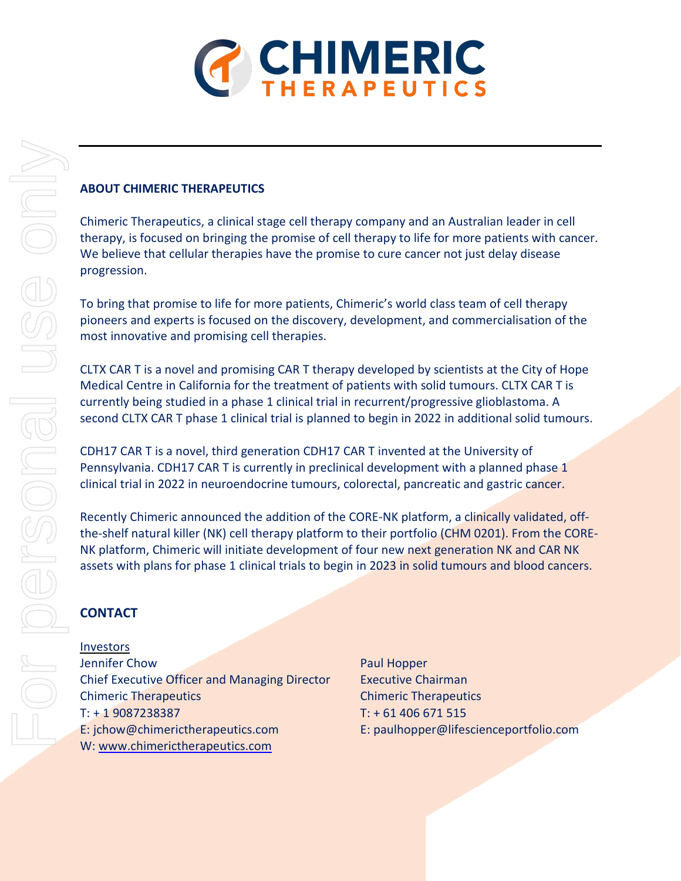

#### **ABOUT CHIMERIC THERAPEUTICS**

Chimeric Therapeutics, a clinical stage cell therapy company and an Australian leader in cell therapy, is focused on bringing the promise of cell therapy to life for more patients with cancer. We believe that cellular therapies have the promise to cure cancer not just delay disease progression.

To bring that promise to life for more patients, Chimeric's world class team of cell therapy pioneers and experts is focused on the discovery, development, and commercialisation of the most innovative and promising cell therapies.

CLTX CAR T is a novel and promising CAR T therapy developed by scientists at the City of Hope Medical Centre in California for the treatment of patients with solid tumours. CLTX CAR T is currently being studied in a phase 1 clinical trial in recurrent/progressive glioblastoma. A second CLTX CAR T phase 1 clinical trial is planned to begin in 2022 in additional solid tumours.

CDH17 CAR T is a novel, third generation CDH17 CAR T invented at the University of Pennsylvania. CDH17 CAR T is currently in preclinical development with a planned phase 1 clinical trial in 2022 in neuroendocrine tumours, colorectal, pancreatic and gastric cancer.

Recently Chimeric announced the addition of the CORE-NK platform, a clinically validated, offthe-shelf natural killer (NK) cell therapy platform to their portfolio (CHM 0201). From the CORE-NK platform, Chimeric will initiate development of four new next generation NK and CAR NK assets with plans for phase 1 clinical trials to begin in 2023 in solid tumours and blood cancers.

# **CONTACT**

Investors

**Jennifer Chow Paul Hopper** Chief Executive Officer and Managing Director Executive Chairman Chimeric Therapeutics Chimeric Therapeutics T: + 1 9087238387 T: + 61 406 671 515 E: jchow@chimerictherapeutics.com E: paulhopper@lifescienceportfolio.com W: [www.chimerictherapeutics.com](http://www.chimerictherapeutics.com/)